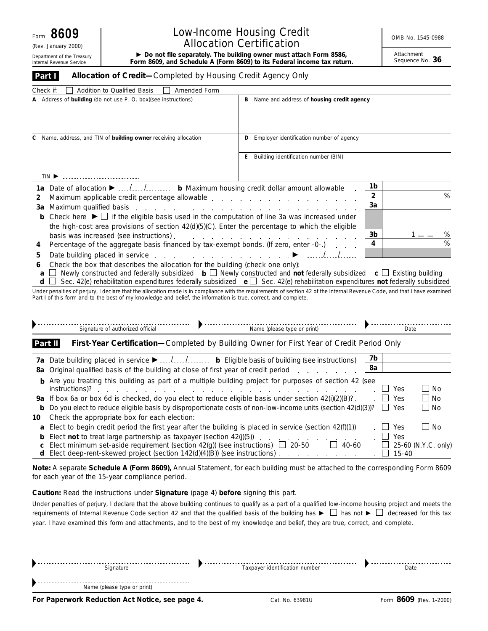(Rev. January 2000)

Internal Revenue Service

# Low-Income Housing Credit **No. 1545-0988** No. 1545-0988 Allocation Certification

Department of the Treasury **Form 8609, and Schedule A (Form 8609) to its Federal income tax return. Netrach ment<br>Internal Revenue Service <b>Form 8609, and Schedule A (Form 8609) to its Federal income tax return.** Sequence

Attachment<br>Sequence No. 36

| internai Revenue Service                                                                                                                                                                                                                                                                                                             | FUITH 6009, and Schedule A (FUITH 6009) to its redefail income tax return.                 |        |  |  |  |  |  |
|--------------------------------------------------------------------------------------------------------------------------------------------------------------------------------------------------------------------------------------------------------------------------------------------------------------------------------------|--------------------------------------------------------------------------------------------|--------|--|--|--|--|--|
| Allocation of Credit-Completed by Housing Credit Agency Only<br>Part I                                                                                                                                                                                                                                                               |                                                                                            |        |  |  |  |  |  |
| Check if:<br>Addition to Qualified Basis<br>Amended Form                                                                                                                                                                                                                                                                             |                                                                                            |        |  |  |  |  |  |
| A Address of building (do not use P. O. box) (see instructions)                                                                                                                                                                                                                                                                      | B Name and address of housing credit agency                                                |        |  |  |  |  |  |
| Name, address, and TIN of building owner receiving allocation<br>С                                                                                                                                                                                                                                                                   | <b>D</b> Employer identification number of agency                                          |        |  |  |  |  |  |
|                                                                                                                                                                                                                                                                                                                                      | E Building identification number (BIN)                                                     |        |  |  |  |  |  |
| TIN <sup>E</sup>                                                                                                                                                                                                                                                                                                                     |                                                                                            |        |  |  |  |  |  |
| 1a Date of allocation ▶  / / b Maximum housing credit dollar amount allowable                                                                                                                                                                                                                                                        | 1b                                                                                         | %      |  |  |  |  |  |
| $\overline{2}$<br>2                                                                                                                                                                                                                                                                                                                  |                                                                                            |        |  |  |  |  |  |
| Maximum qualified basis entering the state of the state of the state of the state of the state of the state of the state of the state of the state of the state of the state of the state of the state of the state of the sta<br>За                                                                                                 | 3a                                                                                         |        |  |  |  |  |  |
| Check here $\blacktriangleright \Box$ if the eligible basis used in the computation of line 3a was increased under<br>b                                                                                                                                                                                                              |                                                                                            |        |  |  |  |  |  |
| the high-cost area provisions of section $42(d)(5)(C)$ . Enter the percentage to which the eligible                                                                                                                                                                                                                                  |                                                                                            |        |  |  |  |  |  |
|                                                                                                                                                                                                                                                                                                                                      | 3b                                                                                         | %<br>% |  |  |  |  |  |
|                                                                                                                                                                                                                                                                                                                                      | 4<br>Percentage of the aggregate basis financed by tax-exempt bonds. (If zero, enter -0-.) |        |  |  |  |  |  |
| Date building placed in service enterstanding provide a service of the service of the service of the service of the service of the service of the service of the service of the service of the service of the service of the s<br>5                                                                                                  |                                                                                            |        |  |  |  |  |  |
| Check the box that describes the allocation for the building (check one only):<br>6                                                                                                                                                                                                                                                  |                                                                                            |        |  |  |  |  |  |
| Newly constructed and federally subsidized $\mathbf{b} \square \mathbf{N}$ Newly constructed and not federally subsidized $\mathbf{c} \square \mathbf{E}$ Existing building<br>Sec. 42(e) rehabilitation expenditures federally subsidized $\mathbf{e} \square$ Sec. 42(e) rehabilitation expenditures not federally subsidized<br>d |                                                                                            |        |  |  |  |  |  |
| Under penalties of perjury, I declare that the allocation made is in compliance with the requirements of section 42 of the Internal Revenue Code, and that I have examined<br>Part I of this form and to the best of my knowledge and belief, the information is true, correct, and complete.                                        |                                                                                            |        |  |  |  |  |  |
| Signature of authorized official                                                                                                                                                                                                                                                                                                     | Name (please type or print)                                                                | Date   |  |  |  |  |  |

**First-Year Certification—**Completed by Building Owner for First Year of Credit Period Only **Part II**

|                                                                                                                                 | 7b |       |                     |
|---------------------------------------------------------------------------------------------------------------------------------|----|-------|---------------------|
| 8a Original qualified basis of the building at close of first year of credit period                                             | 8a |       |                     |
| <b>b</b> Are you treating this building as part of a multiple building project for purposes of section 42 (see                  |    | Yes   | $\blacksquare$ No   |
| <b>9a</b> If box 6a or box 6d is checked, do you elect to reduce eligible basis under section 42(i)(2)(B)?. $\Box$              |    | Yes   | $\vert$ No          |
| <b>b</b> Do you elect to reduce eligible basis by disproportionate costs of non-low-income units (section 42(d)(3))? $\Box$ Yes |    |       | $\Box$ No           |
| 10 Check the appropriate box for each election:                                                                                 |    |       |                     |
| <b>a</b> Elect to begin credit period the first year after the building is placed in service (section $42(f)(1)$ )              |    | Yes   | No                  |
|                                                                                                                                 |    | Yes   |                     |
| <b>c</b> Elect minimum set-aside requirement (section 42(g)) (see instructions) $\Box$ 20-50<br>40-60                           |    |       | 25-60 (N.Y.C. only) |
|                                                                                                                                 |    | 15-40 |                     |

**Note:** *A separate Schedule A (Form 8609), Annual Statement, for each building must be attached to the corresponding Form 8609 for each year of the 15-year compliance period.*

**Caution:** *Read the instructions under Signature (page 4) before signing this part.*

Under penalties of perjury, I declare that the above building continues to qualify as a part of a qualified low-income housing project and meets the requirements of Internal Revenue Code section 42 and that the qualified basis of the building has  $\blacktriangleright \Box$  has not  $\blacktriangleright \Box$  decreased for this tax year. I have examined this form and attachments, and to the best of my knowledge and belief, they are true, correct, and complete.

|                             |                                | ---- |
|-----------------------------|--------------------------------|------|
| Name (please type or print) |                                |      |
|                             |                                |      |
| Signature                   | Taxpayer identification number | Date |
|                             |                                |      |

**For Paperwork Reduction Act Notice, see page 4.** Cat. No. 63981U Form 8609 (Rev. 1-2000)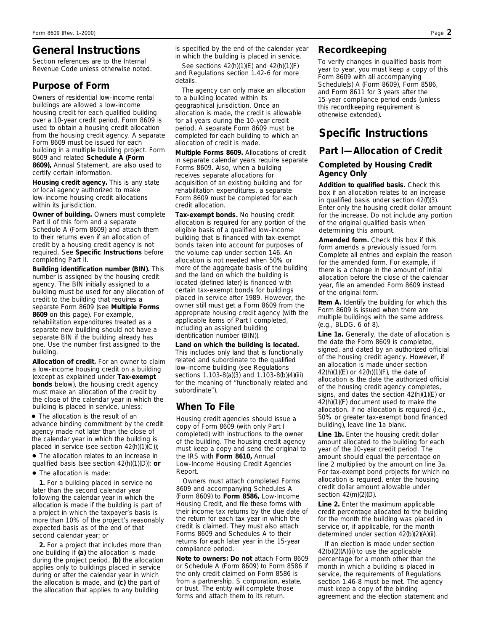## **General Instructions**

*Section references are to the Internal Revenue Code unless otherwise noted.*

## **Purpose of Form**

Owners of residential low-income rental buildings are allowed a low-income housing credit for each qualified building over a 10-year credit period. Form 8609 is used to obtain a housing credit allocation from the housing credit agency. A separate Form 8609 must be issued for each building in a multiple building project. Form 8609 and related **Schedule A (Form 8609),** Annual Statement, are also used to certify certain information.

**Housing credit agency.** This is any state or local agency authorized to make low-income housing credit allocations within its jurisdiction.

**Owner of building.** Owners must complete Part II of this form and a separate Schedule A (Form 8609) and attach them to their returns even if an allocation of credit by a housing credit agency is not required. See **Specific Instructions** before completing Part II.

**Building identification number (BIN).** This number is assigned by the housing credit agency. The BIN initially assigned to a building must be used for any allocation of credit to the building that requires a separate Form 8609 (see **Multiple Forms 8609** on this page). For example, rehabilitation expenditures treated as a separate new building should not have a separate BIN if the building already has one. Use the number first assigned to the building.

**Allocation of credit.** For an owner to claim a low-income housing credit on a building (except as explained under **Tax-exempt bonds** below), the housing credit agency must make an allocation of the credit by the close of the calendar year in which the building is placed in service, unless:

● The allocation is the result of an advance binding commitment by the credit agency made not later than the close of the calendar year in which the building is placed in service (see section 42(h)(1)(C));

● The allocation relates to an increase in qualified basis (see section 42(h)(1)(D)); **or**

● The allocation is made:

**1.** For a building placed in service no later than the second calendar year following the calendar year in which the allocation is made if the building is part of a project in which the taxpayer's basis is more than 10% of the project's reasonably expected basis as of the end of that second calendar year; or

**2.** For a project that includes more than one building if **(a)** the allocation is made during the project period, **(b)** the allocation applies only to buildings placed in service during or after the calendar year in which the allocation is made, and **(c)** the part of the allocation that applies to any building

is specified by the end of the calendar year in which the building is placed in service.

See sections 42(h)(1)(E) and 42(h)(1)(F) and Regulations section 1.42-6 for more details.

The agency can only make an allocation to a building located within its geographical jurisdiction. Once an allocation is made, the credit is allowable for all years during the 10-year credit period. A separate Form 8609 must be completed for each building to which an allocation of credit is made.

**Multiple Forms 8609.** Allocations of credit in separate calendar years require separate Forms 8609. Also, when a building receives separate allocations for acquisition of an existing building and for rehabilitation expenditures, a separate Form 8609 must be completed for each credit allocation.

**Tax-exempt bonds.** No housing credit allocation is required for any portion of the eligible basis of a qualified low-income building that is financed with tax-exempt bonds taken into account for purposes of the volume cap under section 146. An allocation is not needed when 50% or more of the aggregate basis of the building and the land on which the building is located (defined later) is financed with certain tax-exempt bonds for buildings placed in service after 1989. However, the owner still must get a Form 8609 from the appropriate housing credit agency (with the applicable items of Part I completed, including an assigned building identification number (BIN)).

**Land on which the building is located.** This includes only land that is functionally related and subordinate to the qualified low-income building (see Regulations sections 1.103-8(a)(3) and 1.103-8(b)(4)(iii) for the meaning of "functionally related and subordinate").

## **When To File**

Housing credit agencies should issue a copy of Form 8609 (with only Part I completed) with instructions to the owner of the building. The housing credit agency must keep a copy and send the original to the IRS with **Form 8610,** Annual Low-Income Housing Credit Agencies Report.

Owners must attach completed Forms 8609 and accompanying Schedules A (Form 8609) to **Form 8586,** Low-Income Housing Credit, and file these forms with their income tax returns by the due date of the return for each tax year in which the credit is claimed. They must also attach Forms 8609 and Schedules A to their returns for each later year in the 15-year compliance period.

**Note to owners:** *Do not attach Form 8609 or Schedule A (Form 8609) to Form 8586 if the only credit claimed on Form 8586 is from a partnership, S corporation, estate, or trust. The entity will complete those forms and attach them to its return.*

### **Recordkeeping**

To verify changes in qualified basis from year to year, you must keep a copy of this Form 8609 with all accompanying Schedule(s) A (Form 8609), Form 8586, and Form 8611 for 3 years after the 15-year compliance period ends (unless this recordkeeping requirement is otherwise extended).

## **Specific Instructions**

## **Part I—Allocation of Credit**

#### **Completed by Housing Credit Agency Only**

**Addition to qualified basis.** Check this box if an allocation relates to an increase in qualified basis under section 42(f)(3). Enter only the housing credit dollar amount for the increase. Do not include any portion of the original qualified basis when determining this amount.

**Amended form.** Check this box if this form amends a previously issued form. Complete all entries and explain the reason for the amended form. For example, if there is a change in the amount of initial allocation before the close of the calendar year, file an amended Form 8609 instead of the original form.

**Item A.** Identify the building for which this Form 8609 is issued when there are multiple buildings with the same address (e.g., BLDG. 6 of 8).

**Line 1a.** Generally, the date of allocation is the date the Form 8609 is completed, signed, and dated by an authorized official of the housing credit agency. However, if an allocation is made under section 42(h)(1)(E) or 42(h)(1)(F), the date of allocation is the date the authorized official of the housing credit agency completes, signs, and dates the section 42(h)(1)(E) or 42(h)(1)(F) document used to make the allocation. If no allocation is required (i.e., 50% or greater tax-exempt bond financed building), leave line 1a blank.

Line 1b. Enter the housing credit dollar amount allocated to the building for each year of the 10-year credit period. The amount should equal the percentage on line 2 multiplied by the amount on line 3a. For tax-exempt bond projects for which no allocation is required, enter the housing credit dollar amount allowable under section 42(m)(2)(D).

**Line 2.** Enter the maximum applicable credit percentage allocated to the building for the month the building was placed in service or, if applicable, for the month determined under section 42(b)(2)(A)(ii).

If an election is made under section 42(b)(2)(A)(ii) to use the applicable percentage for a month other than the month in which a building is placed in service, the requirements of Regulations section 1.46-8 must be met. The agency must keep a copy of the binding agreement and the election statement and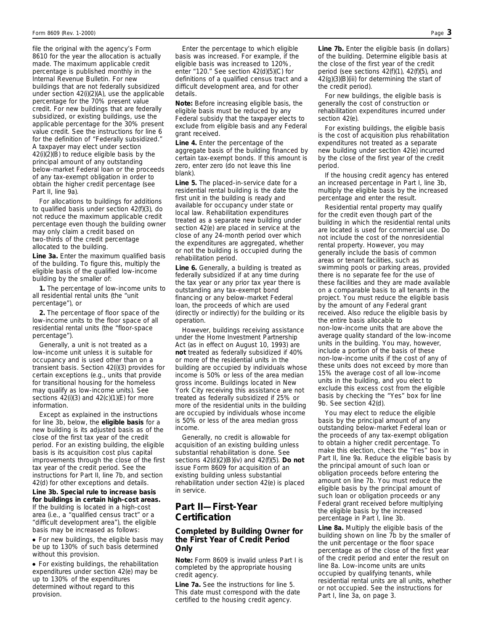file the original with the agency's Form 8610 for the year the allocation is actually made. The maximum applicable credit percentage is published monthly in the Internal Revenue Bulletin. For new buildings that are not federally subsidized under section 42(i)(2)(A), use the applicable percentage for the 70% present value credit. For new buildings that are federally subsidized, or existing buildings, use the applicable percentage for the 30% present value credit. See the instructions for line 6 for the definition of "Federally subsidized." A taxpayer may elect under section 42(i)(2)(B) to reduce eligible basis by the principal amount of any outstanding below-market Federal loan or the proceeds of any tax-exempt obligation in order to obtain the higher credit percentage (see Part II, line 9a).

For allocations to buildings for additions to qualified basis under section 42(f)(3), do not reduce the maximum applicable credit percentage even though the building owner may only claim a credit based on two-thirds of the credit percentage allocated to the building.

**Line 3a.** Enter the maximum qualified basis of the building. To figure this, multiply the eligible basis of the qualified low-income building by the smaller of:

**1.** The percentage of low-income units to all residential rental units (the "unit percentage"), or

**2.** The percentage of floor space of the low-income units to the floor space of all residential rental units (the "floor-space percentage").

Generally, a unit is not treated as a low-income unit unless it is suitable for occupancy and is used other than on a transient basis. Section 42(i)(3) provides for certain exceptions (e.g., units that provide for transitional housing for the homeless may qualify as low-income units). See sections  $42(i)(3)$  and  $42(c)(1)(E)$  for more information.

Except as explained in the instructions for line 3b, below, the **eligible basis** for a new building is its adjusted basis as of the close of the first tax year of the credit period. For an existing building, the eligible basis is its acquisition cost plus capital improvements through the close of the first tax year of the credit period. See the instructions for Part II, line 7b, and section 42(d) for other exceptions and details.

**Line 3b. Special rule to increase basis for buildings in certain high-cost areas.** If the building is located in a high-cost area (i.e., a "qualified census tract" or a "difficult development area"), the eligible basis may be increased as follows:

• For new buildings, the eligible basis may be up to 130% of such basis determined without this provision.

● For existing buildings, the rehabilitation expenditures under section 42(e) may be up to 130% of the expenditures determined without regard to this provision.

Enter the percentage to which eligible basis was increased. For example, if the eligible basis was increased to 120%, enter "120." See section 42(d)(5)(C) for definitions of a qualified census tract and a difficult development area, and for other details.

**Note:** *Before increasing eligible basis, the eligible basis must be reduced by any Federal subsidy that the taxpayer elects to exclude from eligible basis and any Federal grant received.*

**Line 4.** Enter the percentage of the aggregate basis of the building financed by certain tax-exempt bonds. If this amount is zero, enter zero (do not leave this line blank).

**Line 5.** The placed-in-service date for a residential rental building is the date the first unit in the building is ready and available for occupancy under state or local law. Rehabilitation expenditures treated as a separate new building under section 42(e) are placed in service at the close of any 24-month period over which the expenditures are aggregated, whether or not the building is occupied during the rehabilitation period.

**Line 6.** Generally, a building is treated as federally subsidized if at any time during the tax year or any prior tax year there is outstanding any tax-exempt bond financing or any below-market Federal loan, the proceeds of which are used (directly or indirectly) for the building or its operation.

However, buildings receiving assistance under the Home Investment Partnership Act (as in effect on August 10, 1993) are **not** treated as federally subsidized if 40% or more of the residential units in the building are occupied by individuals whose income is 50% or less of the area median gross income. Buildings located in New York City receiving this assistance are not treated as federally subsidized if 25% or more of the residential units in the building are occupied by individuals whose income is 50% or less of the area median gross income.

Generally, no credit is allowable for acquisition of an existing building unless substantial rehabilitation is done. See sections 42(d)(2)(B)(iv) and 42(f)(5). **Do not** issue Form 8609 for acquisition of an existing building unless substantial rehabilitation under section 42(e) is placed in service.

### **Part II—First-Year Certification**

#### **Completed by Building Owner for the First Year of Credit Period Only**

**Note:** *Form 8609 is invalid unless Part I is completed by the appropriate housing credit agency.*

**Line 7a.** See the instructions for line 5. This date must correspond with the date certified to the housing credit agency.

**Line 7b.** Enter the eligible basis (in dollars) of the building. Determine eligible basis at the close of the first year of the credit period (see sections 42(f)(1), 42(f)(5), and 42(g)(3)(B)(iii) for determining the start of the credit period).

For new buildings, the eligible basis is generally the cost of construction or rehabilitation expenditures incurred under section 42(e).

For existing buildings, the eligible basis is the cost of acquisition plus rehabilitation expenditures not treated as a separate new building under section 42(e) incurred by the close of the first year of the credit period.

If the housing credit agency has entered an increased percentage in Part I, line 3b, multiply the eligible basis by the increased percentage and enter the result.

Residential rental property may qualify for the credit even though part of the building in which the residential rental units are located is used for commercial use. Do not include the cost of the nonresidential rental property. However, you may generally include the basis of common areas or tenant facilities, such as swimming pools or parking areas, provided there is no separate fee for the use of these facilities and they are made available on a comparable basis to all tenants in the project. You must reduce the eligible basis by the amount of any Federal grant received. Also reduce the eligible basis by the entire basis allocable to non-low-income units that are above the average quality standard of the low-income units in the building. You may, however, include a portion of the basis of these non-low-income units if the cost of any of these units does not exceed by more than 15% the average cost of all low-income units in the building, and you elect to exclude this excess cost from the eligible basis by checking the "Yes" box for line 9b. See section 42(d).

You may elect to reduce the eligible basis by the principal amount of any outstanding below-market Federal loan or the proceeds of any tax-exempt obligation to obtain a higher credit percentage. To make this election, check the "Yes" box in Part II, line 9a. Reduce the eligible basis by the principal amount of such loan or obligation proceeds before entering the amount on line 7b. You must reduce the eligible basis by the principal amount of such loan or obligation proceeds or any Federal grant received before multiplying the eligible basis by the increased percentage in Part I, line 3b.

**Line 8a.** Multiply the eligible basis of the building shown on line 7b by the smaller of the unit percentage or the floor space percentage as of the close of the first year of the credit period and enter the result on line 8a. Low-income units are units occupied by qualifying tenants, while residential rental units are all units, whether or not occupied. See the instructions for Part I, line 3a, on page 3.